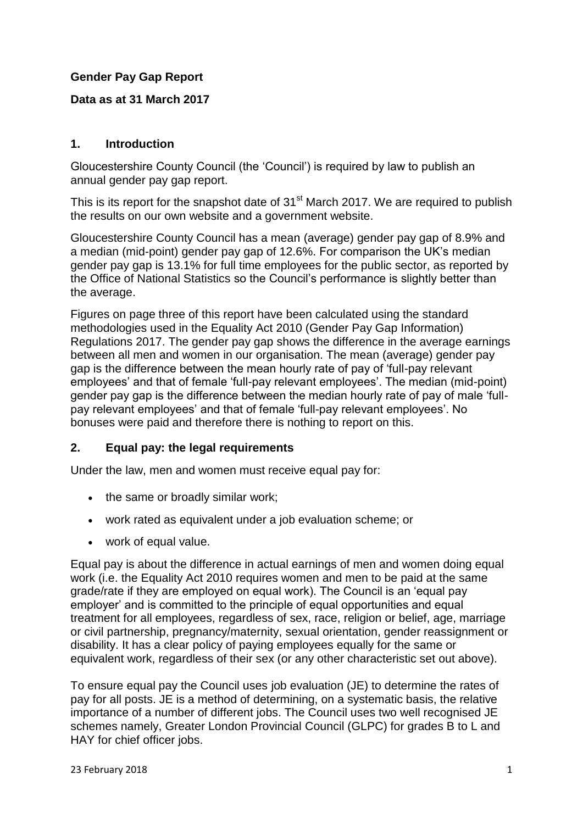### **Gender Pay Gap Report**

#### **Data as at 31 March 2017**

#### **1. Introduction**

Gloucestershire County Council (the 'Council') is required by law to publish an annual gender pay gap report.

This is its report for the snapshot date of 31<sup>st</sup> March 2017. We are required to publish the results on our own website and a government website.

Gloucestershire County Council has a mean (average) gender pay gap of 8.9% and a median (mid-point) gender pay gap of 12.6%. For comparison the UK's median gender pay gap is 13.1% for full time employees for the public sector, as reported by the Office of National Statistics so the Council's performance is slightly better than the average.

Figures on page three of this report have been calculated using the standard methodologies used in the Equality Act 2010 (Gender Pay Gap Information) Regulations 2017. The gender pay gap shows the difference in the average earnings between all men and women in our organisation. The mean (average) gender pay gap is the difference between the mean hourly rate of pay of 'full-pay relevant employees' and that of female 'full-pay relevant employees'. The median (mid-point) gender pay gap is the difference between the median hourly rate of pay of male 'fullpay relevant employees' and that of female 'full-pay relevant employees'. No bonuses were paid and therefore there is nothing to report on this.

#### **2. Equal pay: the legal requirements**

Under the law, men and women must receive equal pay for:

- the same or broadly similar work;
- work rated as equivalent under a job evaluation scheme; or
- work of equal value.

Equal pay is about the difference in actual earnings of men and women doing equal work (i.e. the Equality Act 2010 requires women and men to be paid at the same grade/rate if they are employed on equal work). The Council is an 'equal pay employer' and is committed to the principle of equal opportunities and equal treatment for all employees, regardless of sex, race, religion or belief, age, marriage or civil partnership, pregnancy/maternity, sexual orientation, gender reassignment or disability. It has a clear policy of paying employees equally for the same or equivalent work, regardless of their sex (or any other characteristic set out above).

To ensure equal pay the Council uses job evaluation (JE) to determine the rates of pay for all posts. JE is a method of determining, on a systematic basis, the relative importance of a number of different jobs. The Council uses two well recognised JE schemes namely, Greater London Provincial Council (GLPC) for grades B to L and HAY for chief officer jobs.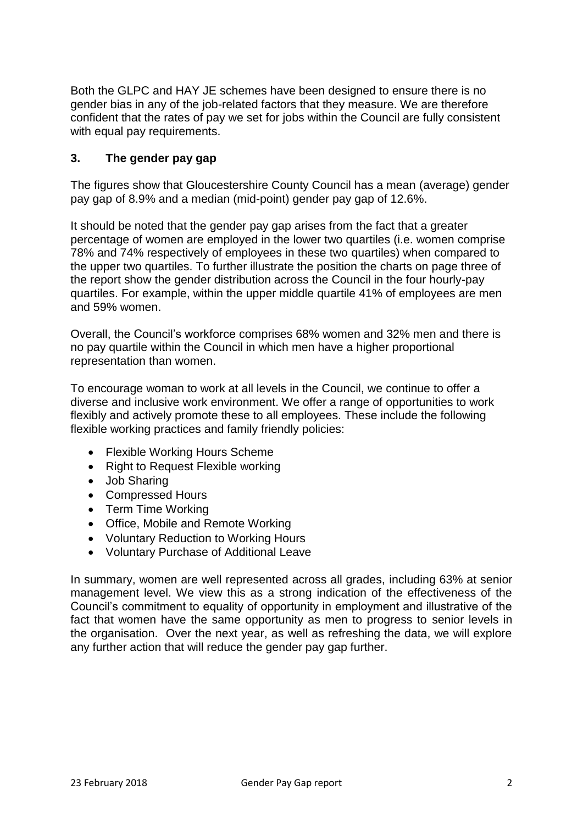Both the GLPC and HAY JE schemes have been designed to ensure there is no gender bias in any of the job-related factors that they measure. We are therefore confident that the rates of pay we set for jobs within the Council are fully consistent with equal pay requirements.

### **3. The gender pay gap**

The figures show that Gloucestershire County Council has a mean (average) gender pay gap of 8.9% and a median (mid-point) gender pay gap of 12.6%.

It should be noted that the gender pay gap arises from the fact that a greater percentage of women are employed in the lower two quartiles (i.e. women comprise 78% and 74% respectively of employees in these two quartiles) when compared to the upper two quartiles. To further illustrate the position the charts on page three of the report show the gender distribution across the Council in the four hourly-pay quartiles. For example, within the upper middle quartile 41% of employees are men and 59% women.

Overall, the Council's workforce comprises 68% women and 32% men and there is no pay quartile within the Council in which men have a higher proportional representation than women.

To encourage woman to work at all levels in the Council, we continue to offer a diverse and inclusive work environment. We offer a range of opportunities to work flexibly and actively promote these to all employees. These include the following flexible working practices and family friendly policies:

- Flexible Working Hours Scheme
- Right to Request Flexible working
- Job Sharing
- Compressed Hours
- Term Time Working
- Office, Mobile and Remote Working
- Voluntary Reduction to Working Hours
- Voluntary Purchase of Additional Leave

In summary, women are well represented across all grades, including 63% at senior management level. We view this as a strong indication of the effectiveness of the Council's commitment to equality of opportunity in employment and illustrative of the fact that women have the same opportunity as men to progress to senior levels in the organisation. Over the next year, as well as refreshing the data, we will explore any further action that will reduce the gender pay gap further.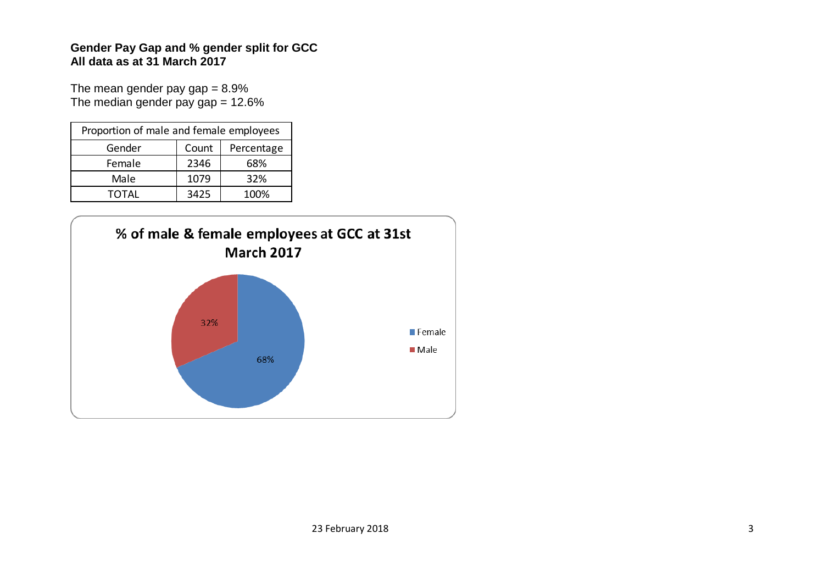### **Gender Pay Gap and % gender split for GCC All data as at 31 March 2017**

The mean gender pay  $gap = 8.9\%$ The median gender pay  $gap = 12.6\%$ 

| Proportion of male and female employees |       |            |  |
|-----------------------------------------|-------|------------|--|
| Gender                                  | Count | Percentage |  |
| Female                                  | 2346  | 68%        |  |
| Male                                    | 1079  | 32%        |  |
| <b>TOTAL</b>                            | 3425  | 100%       |  |